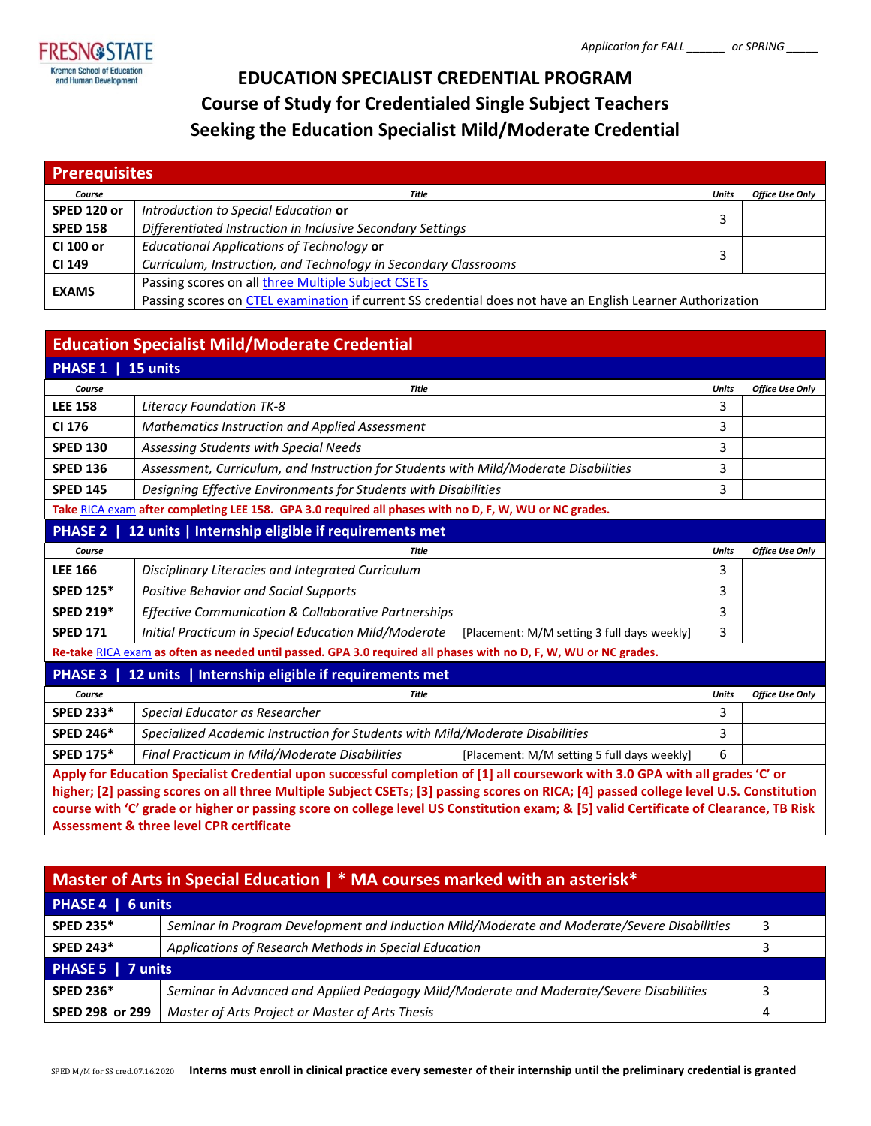

# **EDUCATION SPECIALIST CREDENTIAL PROGRAM Course of Study for Credentialed Single Subject Teachers Seeking the Education Specialist Mild/Moderate Credential**

| <b>Prerequisites</b> |                                                                                                            |       |                 |  |  |
|----------------------|------------------------------------------------------------------------------------------------------------|-------|-----------------|--|--|
| Course               | Title                                                                                                      | Units | Office Use Only |  |  |
| SPED 120 or          | Introduction to Special Education or                                                                       |       |                 |  |  |
| <b>SPED 158</b>      | Differentiated Instruction in Inclusive Secondary Settings                                                 |       |                 |  |  |
| CI 100 or            | <b>Educational Applications of Technology or</b>                                                           |       |                 |  |  |
| <b>CI 149</b>        | Curriculum, Instruction, and Technology in Secondary Classrooms                                            |       |                 |  |  |
| <b>EXAMS</b>         | Passing scores on all three Multiple Subject CSETs                                                         |       |                 |  |  |
|                      | Passing scores on CTEL examination if current SS credential does not have an English Learner Authorization |       |                 |  |  |

| <b>Education Specialist Mild/Moderate Credential</b>                                                                                                                                                                                                                                                                                                                                                                                                                     |                                                                                                     |              |                        |  |  |  |
|--------------------------------------------------------------------------------------------------------------------------------------------------------------------------------------------------------------------------------------------------------------------------------------------------------------------------------------------------------------------------------------------------------------------------------------------------------------------------|-----------------------------------------------------------------------------------------------------|--------------|------------------------|--|--|--|
| PHASE 1   15 units                                                                                                                                                                                                                                                                                                                                                                                                                                                       |                                                                                                     |              |                        |  |  |  |
| Course                                                                                                                                                                                                                                                                                                                                                                                                                                                                   | <b>Title</b>                                                                                        | Units        | <b>Office Use Only</b> |  |  |  |
| <b>LEE 158</b>                                                                                                                                                                                                                                                                                                                                                                                                                                                           | Literacy Foundation TK-8                                                                            | 3            |                        |  |  |  |
| CI 176                                                                                                                                                                                                                                                                                                                                                                                                                                                                   | Mathematics Instruction and Applied Assessment                                                      | 3            |                        |  |  |  |
| <b>SPED 130</b>                                                                                                                                                                                                                                                                                                                                                                                                                                                          | Assessing Students with Special Needs                                                               | 3            |                        |  |  |  |
| <b>SPED 136</b>                                                                                                                                                                                                                                                                                                                                                                                                                                                          | Assessment, Curriculum, and Instruction for Students with Mild/Moderate Disabilities                | 3            |                        |  |  |  |
| <b>SPED 145</b>                                                                                                                                                                                                                                                                                                                                                                                                                                                          | Designing Effective Environments for Students with Disabilities                                     | 3            |                        |  |  |  |
| Take RICA exam after completing LEE 158. GPA 3.0 required all phases with no D, F, W, WU or NC grades.                                                                                                                                                                                                                                                                                                                                                                   |                                                                                                     |              |                        |  |  |  |
| <b>PHASE 2</b>                                                                                                                                                                                                                                                                                                                                                                                                                                                           | 12 units   Internship eligible if requirements met                                                  |              |                        |  |  |  |
| Course                                                                                                                                                                                                                                                                                                                                                                                                                                                                   | <b>Title</b>                                                                                        | Units        | <b>Office Use Only</b> |  |  |  |
| <b>LEE 166</b>                                                                                                                                                                                                                                                                                                                                                                                                                                                           | Disciplinary Literacies and Integrated Curriculum                                                   | 3            |                        |  |  |  |
| <b>SPED 125*</b>                                                                                                                                                                                                                                                                                                                                                                                                                                                         | <b>Positive Behavior and Social Supports</b>                                                        | 3            |                        |  |  |  |
| <b>SPED 219*</b>                                                                                                                                                                                                                                                                                                                                                                                                                                                         | Effective Communication & Collaborative Partnerships                                                | 3            |                        |  |  |  |
| <b>SPED 171</b>                                                                                                                                                                                                                                                                                                                                                                                                                                                          | Initial Practicum in Special Education Mild/Moderate<br>[Placement: M/M setting 3 full days weekly] | 3            |                        |  |  |  |
| Re-take RICA exam as often as needed until passed. GPA 3.0 required all phases with no D, F, W, WU or NC grades.                                                                                                                                                                                                                                                                                                                                                         |                                                                                                     |              |                        |  |  |  |
| <b>PHASE 3</b>                                                                                                                                                                                                                                                                                                                                                                                                                                                           | 12 units   Internship eligible if requirements met                                                  |              |                        |  |  |  |
| Course                                                                                                                                                                                                                                                                                                                                                                                                                                                                   | <b>Title</b>                                                                                        | <b>Units</b> | <b>Office Use Only</b> |  |  |  |
| <b>SPED 233*</b>                                                                                                                                                                                                                                                                                                                                                                                                                                                         | Special Educator as Researcher                                                                      | 3            |                        |  |  |  |
| <b>SPED 246*</b>                                                                                                                                                                                                                                                                                                                                                                                                                                                         | Specialized Academic Instruction for Students with Mild/Moderate Disabilities                       | 3            |                        |  |  |  |
| <b>SPED 175*</b>                                                                                                                                                                                                                                                                                                                                                                                                                                                         | Final Practicum in Mild/Moderate Disabilities<br>[Placement: M/M setting 5 full days weekly]        | 6            |                        |  |  |  |
| Apply for Education Specialist Credential upon successful completion of [1] all coursework with 3.0 GPA with all grades 'C' or<br>higher; [2] passing scores on all three Multiple Subject CSETs; [3] passing scores on RICA; [4] passed college level U.S. Constitution<br>course with 'C' grade or higher or passing score on college level US Constitution exam; & [5] valid Certificate of Clearance, TB Risk<br><b>Assessment &amp; three level CPR certificate</b> |                                                                                                     |              |                        |  |  |  |

### **Master of Arts in Special Education | \* MA courses marked with an asterisk\***

| PHASE 4   6 units |                                                                                             |  |  |  |
|-------------------|---------------------------------------------------------------------------------------------|--|--|--|
| <b>SPED 235*</b>  | Seminar in Program Development and Induction Mild/Moderate and Moderate/Severe Disabilities |  |  |  |
| <b>SPED 243*</b>  | Applications of Research Methods in Special Education                                       |  |  |  |
| PHASE 5   7 units |                                                                                             |  |  |  |
| <b>SPED 236*</b>  | Seminar in Advanced and Applied Pedagogy Mild/Moderate and Moderate/Severe Disabilities     |  |  |  |
| SPED 298 or 299   | Master of Arts Project or Master of Arts Thesis                                             |  |  |  |